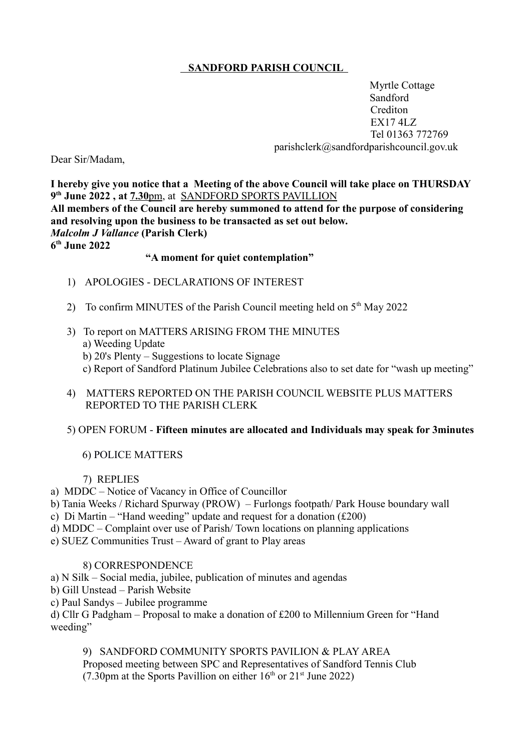# **SANDFORD PARISH COUNCIL**

 Myrtle Cottage Sandford Crediton EX17 4LZ Tel 01363 772769 parishclerk@sandfordparishcouncil.gov.uk

Dear Sir/Madam,

**I hereby give you notice that a Meeting of the above Council will take place on THURSDAY 9 th June 2022 , at 7.30**pm, at SANDFORD SPORTS PAVILLION **All members of the Council are hereby summoned to attend for the purpose of considering and resolving upon the business to be transacted as set out below.** *Malcolm J Vallance* **(Parish Clerk) 6 th June 2022**

### **"A moment for quiet contemplation"**

- 1) APOLOGIES DECLARATIONS OF INTEREST
- 2) To confirm MINUTES of the Parish Council meeting held on  $5<sup>th</sup>$  May 2022
- 3) To report on MATTERS ARISING FROM THE MINUTES a) Weeding Update
	- b) 20's Plenty Suggestions to locate Signage
	- c) Report of Sandford Platinum Jubilee Celebrations also to set date for "wash up meeting"
- 4) MATTERS REPORTED ON THE PARISH COUNCIL WEBSITE PLUS MATTERS REPORTED TO THE PARISH CLERK

## 5) OPEN FORUM - **Fifteen minutes are allocated and Individuals may speak for 3minutes**

6) POLICE MATTERS

## 7) REPLIES

- a) MDDC Notice of Vacancy in Office of Councillor
- b) Tania Weeks / Richard Spurway (PROW) Furlongs footpath/ Park House boundary wall
- c) Di Martin "Hand weeding" update and request for a donation  $(f200)$
- d) MDDC Complaint over use of Parish/ Town locations on planning applications
- e) SUEZ Communities Trust Award of grant to Play areas

#### 8) CORRESPONDENCE

- a) N Silk Social media, jubilee, publication of minutes and agendas
- b) Gill Unstead Parish Website
- c) Paul Sandys Jubilee programme

d) Cllr G Padgham – Proposal to make a donation of £200 to Millennium Green for "Hand weeding"

9) SANDFORD COMMUNITY SPORTS PAVILION & PLAY AREA Proposed meeting between SPC and Representatives of Sandford Tennis Club (7.30pm at the Sports Pavillion on either  $16<sup>th</sup>$  or  $21<sup>st</sup>$  June 2022)